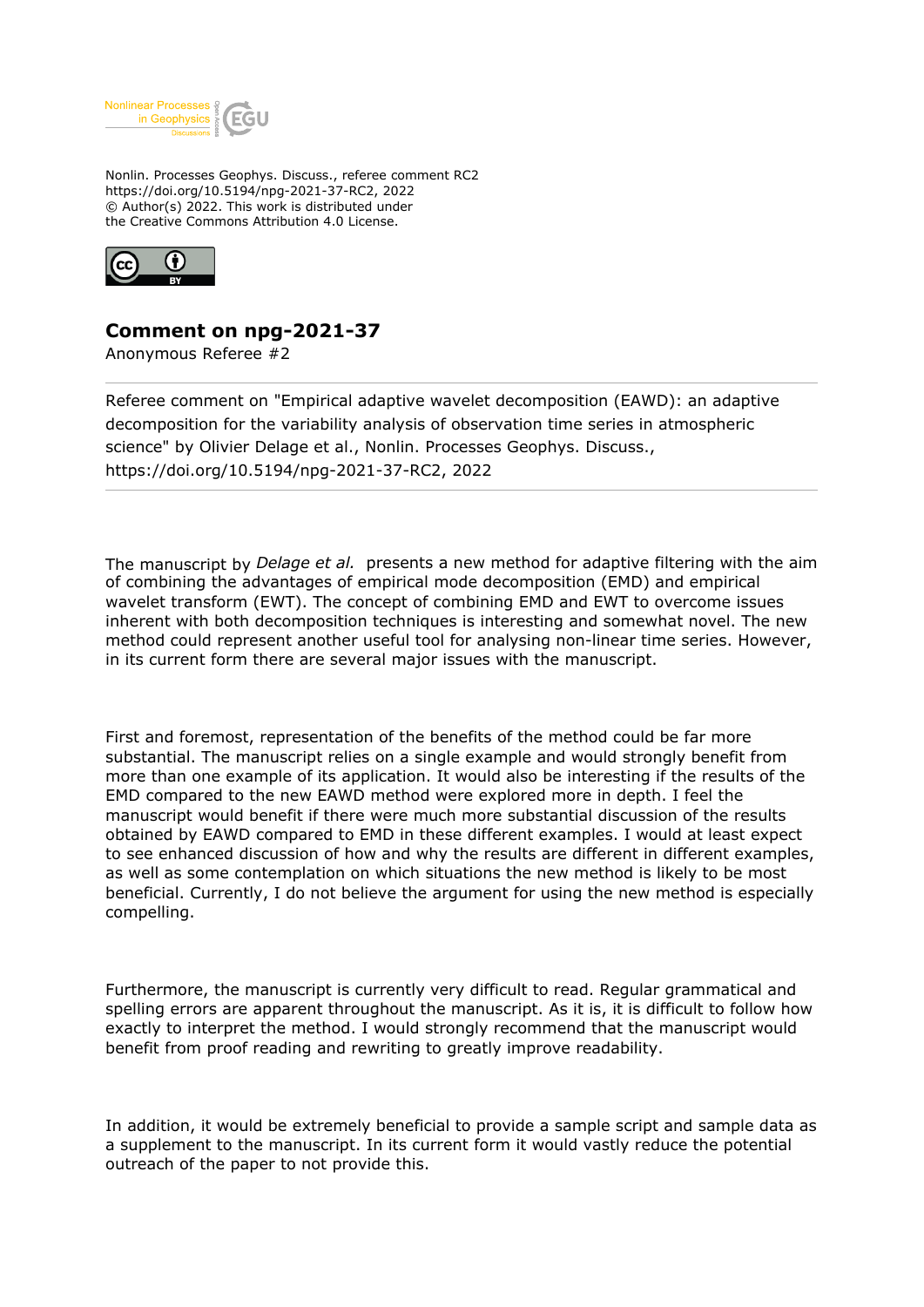

Nonlin. Processes Geophys. Discuss., referee comment RC2 https://doi.org/10.5194/npg-2021-37-RC2, 2022 © Author(s) 2022. This work is distributed under the Creative Commons Attribution 4.0 License.



## **Comment on npg-2021-37**

Anonymous Referee #2

Referee comment on "Empirical adaptive wavelet decomposition (EAWD): an adaptive decomposition for the variability analysis of observation time series in atmospheric science" by Olivier Delage et al., Nonlin. Processes Geophys. Discuss., https://doi.org/10.5194/npg-2021-37-RC2, 2022

The manuscript by *Delage et al.* presents a new method for adaptive filtering with the aim of combining the advantages of empirical mode decomposition (EMD) and empirical wavelet transform (EWT). The concept of combining EMD and EWT to overcome issues inherent with both decomposition techniques is interesting and somewhat novel. The new method could represent another useful tool for analysing non-linear time series. However, in its current form there are several major issues with the manuscript.

First and foremost, representation of the benefits of the method could be far more substantial. The manuscript relies on a single example and would strongly benefit from more than one example of its application. It would also be interesting if the results of the EMD compared to the new EAWD method were explored more in depth. I feel the manuscript would benefit if there were much more substantial discussion of the results obtained by EAWD compared to EMD in these different examples. I would at least expect to see enhanced discussion of how and why the results are different in different examples, as well as some contemplation on which situations the new method is likely to be most beneficial. Currently, I do not believe the argument for using the new method is especially compelling.

Furthermore, the manuscript is currently very difficult to read. Regular grammatical and spelling errors are apparent throughout the manuscript. As it is, it is difficult to follow how exactly to interpret the method. I would strongly recommend that the manuscript would benefit from proof reading and rewriting to greatly improve readability.

In addition, it would be extremely beneficial to provide a sample script and sample data as a supplement to the manuscript. In its current form it would vastly reduce the potential outreach of the paper to not provide this.